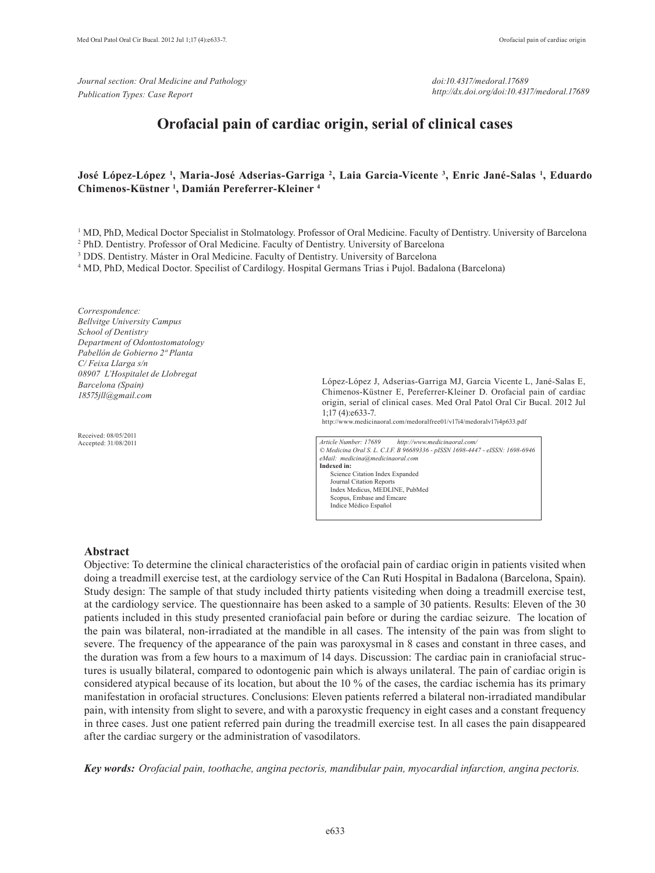*Journal section: Oral Medicine and Pathology Publication Types: Case Report*

*doi:10.4317/medoral.17689 http://dx.doi.org/doi:10.4317/medoral.17689*

# **Orofacial pain of cardiac origin, serial of clinical cases**

## **José López-López 1 , Maria-José Adserias-Garriga 2 , Laia Garcia-Vicente 3 , Enric Jané-Salas 1 , Eduardo Chimenos-Küstner 1 , Damián Pereferrer-Kleiner 4**

<sup>1</sup> MD, PhD, Medical Doctor Specialist in Stolmatology. Professor of Oral Medicine. Faculty of Dentistry. University of Barcelona

2 PhD. Dentistry. Professor of Oral Medicine. Faculty of Dentistry. University of Barcelona

<sup>3</sup> DDS. Dentistry. Máster in Oral Medicine. Faculty of Dentistry. University of Barcelona

4 MD, PhD, Medical Doctor. Specilist of Cardilogy. Hospital Germans Trias i Pujol. Badalona (Barcelona)

*Correspondence: Bellvitge University Campus School of Dentistry Department of Odontostomatology Pabellón de Gobierno 2ª Planta C/ Feixa Llarga s/n 08907 L'Hospitalet de Llobregat Barcelona (Spain) 18575jll@gmail.com*

Received: 08/05/2011 Accepted: 31/08/2011 López-López J, Adserias-Garriga MJ, Garcia Vicente L, Jané-Salas E, Chimenos-Küstner E, Pereferrer-Kleiner D. Orofacial pain of cardiac origin, serial of clinical cases. Med Oral Patol Oral Cir Bucal. 2012 Jul 1;17 (4):e633-7.

http://www.medicinaoral.com/medoralfree01/v17i4/medoralv17i4p633.pdf

*Article Number: 17689 http://www.medicinaoral.com/ © Medicina Oral S. L. C.I.F. B 96689336 - pISSN 1698-4447 - eISSN: 1698-6946 eMail: medicina@medicinaoral.com*  **Indexed in:**  Science Citation Index Expanded Journal Citation Reports Index Medicus, MEDLINE, PubMed Scopus, Embase and Emcare Indice Médico Español

#### **Abstract**

Objective: To determine the clinical characteristics of the orofacial pain of cardiac origin in patients visited when doing a treadmill exercise test, at the cardiology service of the Can Ruti Hospital in Badalona (Barcelona, Spain). Study design: The sample of that study included thirty patients visiteding when doing a treadmill exercise test, at the cardiology service. The questionnaire has been asked to a sample of 30 patients. Results: Eleven of the 30 patients included in this study presented craniofacial pain before or during the cardiac seizure. The location of the pain was bilateral, non-irradiated at the mandible in all cases. The intensity of the pain was from slight to severe. The frequency of the appearance of the pain was paroxysmal in 8 cases and constant in three cases, and the duration was from a few hours to a maximum of 14 days. Discussion: The cardiac pain in craniofacial structures is usually bilateral, compared to odontogenic pain which is always unilateral. The pain of cardiac origin is considered atypical because of its location, but about the 10 % of the cases, the cardiac ischemia has its primary manifestation in orofacial structures. Conclusions: Eleven patients referred a bilateral non-irradiated mandibular pain, with intensity from slight to severe, and with a paroxystic frequency in eight cases and a constant frequency in three cases. Just one patient referred pain during the treadmill exercise test. In all cases the pain disappeared after the cardiac surgery or the administration of vasodilators.

*Key words: Orofacial pain, toothache, angina pectoris, mandibular pain, myocardial infarction, angina pectoris.*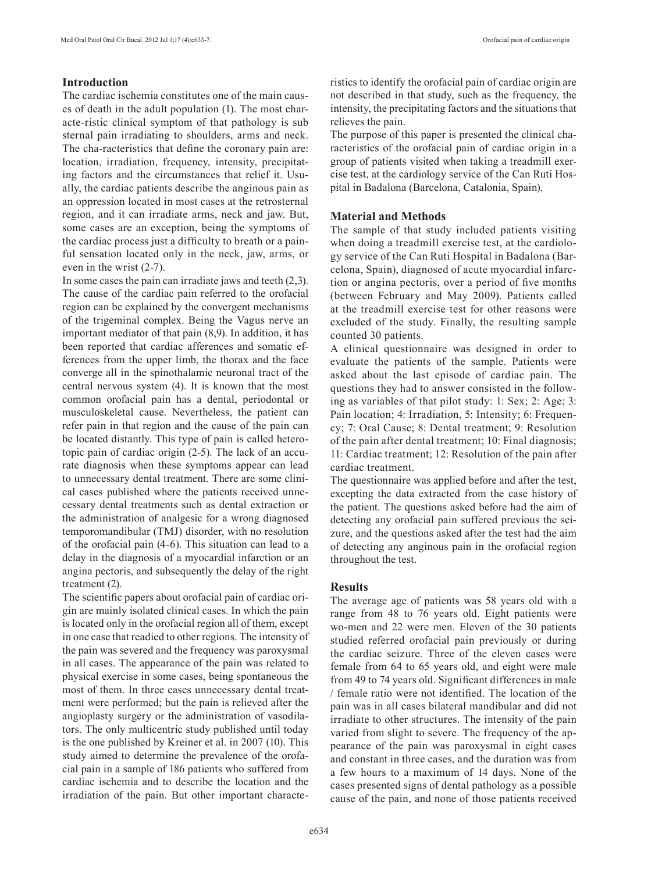# **Introduction**

The cardiac ischemia constitutes one of the main causes of death in the adult population (1). The most characte-ristic clinical symptom of that pathology is sub sternal pain irradiating to shoulders, arms and neck. The cha-racteristics that define the coronary pain are: location, irradiation, frequency, intensity, precipitating factors and the circumstances that relief it. Usually, the cardiac patients describe the anginous pain as an oppression located in most cases at the retrosternal region, and it can irradiate arms, neck and jaw. But, some cases are an exception, being the symptoms of the cardiac process just a difficulty to breath or a painful sensation located only in the neck, jaw, arms, or even in the wrist (2-7).

In some cases the pain can irradiate jaws and teeth (2,3). The cause of the cardiac pain referred to the orofacial region can be explained by the convergent mechanisms of the trigeminal complex. Being the Vagus nerve an important mediator of that pain (8,9). In addition, it has been reported that cardiac afferences and somatic efferences from the upper limb, the thorax and the face converge all in the spinothalamic neuronal tract of the central nervous system (4). It is known that the most common orofacial pain has a dental, periodontal or musculoskeletal cause. Nevertheless, the patient can refer pain in that region and the cause of the pain can be located distantly. This type of pain is called heterotopic pain of cardiac origin (2-5). The lack of an accurate diagnosis when these symptoms appear can lead to unnecessary dental treatment. There are some clinical cases published where the patients received unnecessary dental treatments such as dental extraction or the administration of analgesic for a wrong diagnosed temporomandibular (TMJ) disorder, with no resolution of the orofacial pain (4-6). This situation can lead to a delay in the diagnosis of a myocardial infarction or an angina pectoris, and subsequently the delay of the right treatment (2).

The scientific papers about orofacial pain of cardiac origin are mainly isolated clinical cases. In which the pain is located only in the orofacial region all of them, except in one case that readied to other regions. The intensity of the pain was severed and the frequency was paroxysmal in all cases. The appearance of the pain was related to physical exercise in some cases, being spontaneous the most of them. In three cases unnecessary dental treatment were performed; but the pain is relieved after the angioplasty surgery or the administration of vasodilators. The only multicentric study published until today is the one published by Kreiner et al. in 2007 (10). This study aimed to determine the prevalence of the orofacial pain in a sample of 186 patients who suffered from cardiac ischemia and to describe the location and the irradiation of the pain. But other important characteristics to identify the orofacial pain of cardiac origin are not described in that study, such as the frequency, the intensity, the precipitating factors and the situations that relieves the pain.

The purpose of this paper is presented the clinical characteristics of the orofacial pain of cardiac origin in a group of patients visited when taking a treadmill exercise test, at the cardiology service of the Can Ruti Hospital in Badalona (Barcelona, Catalonia, Spain).

### **Material and Methods**

The sample of that study included patients visiting when doing a treadmill exercise test, at the cardiology service of the Can Ruti Hospital in Badalona (Barcelona, Spain), diagnosed of acute myocardial infarction or angina pectoris, over a period of five months (between February and May 2009). Patients called at the treadmill exercise test for other reasons were excluded of the study. Finally, the resulting sample counted 30 patients.

A clinical questionnaire was designed in order to evaluate the patients of the sample. Patients were asked about the last episode of cardiac pain. The questions they had to answer consisted in the following as variables of that pilot study: 1: Sex; 2: Age; 3: Pain location; 4: Irradiation, 5: Intensity; 6: Frequency; 7: Oral Cause; 8: Dental treatment; 9: Resolution of the pain after dental treatment; 10: Final diagnosis; 11: Cardiac treatment; 12: Resolution of the pain after cardiac treatment.

The questionnaire was applied before and after the test, excepting the data extracted from the case history of the patient. The questions asked before had the aim of detecting any orofacial pain suffered previous the seizure, and the questions asked after the test had the aim of detecting any anginous pain in the orofacial region throughout the test.

## **Results**

The average age of patients was 58 years old with a range from 48 to 76 years old. Eight patients were wo-men and 22 were men. Eleven of the 30 patients studied referred orofacial pain previously or during the cardiac seizure. Three of the eleven cases were female from 64 to 65 years old, and eight were male from 49 to 74 years old. Significant differences in male / female ratio were not identified. The location of the pain was in all cases bilateral mandibular and did not irradiate to other structures. The intensity of the pain varied from slight to severe. The frequency of the appearance of the pain was paroxysmal in eight cases and constant in three cases, and the duration was from a few hours to a maximum of 14 days. None of the cases presented signs of dental pathology as a possible cause of the pain, and none of those patients received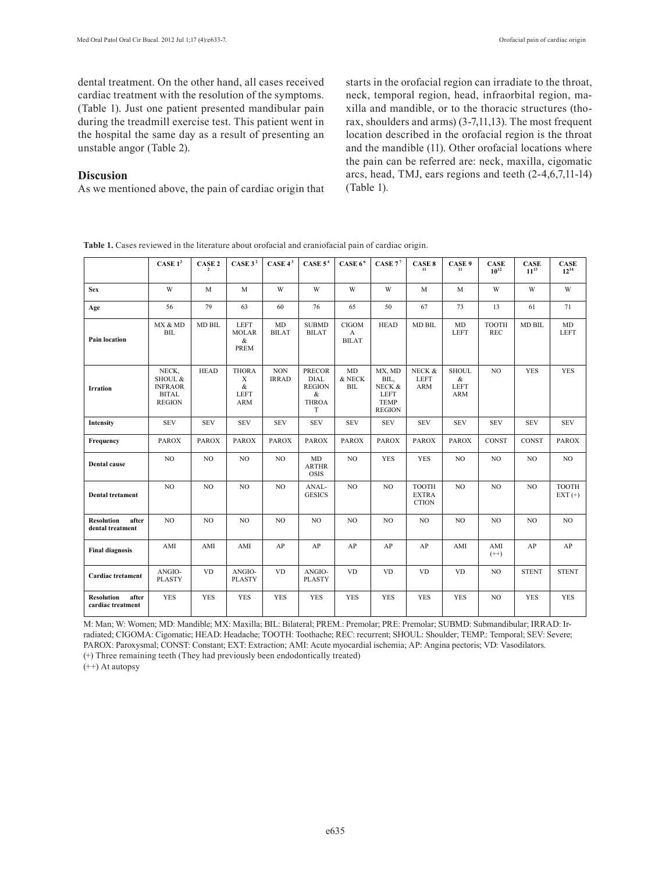dental treatment. On the other hand, all cases received cardiac treatment with the resolution of the symptoms. (Table 1). Just one patient presented mandibular pain during the treadmill exercise test. This patient went in the hospital the same day as a result of presenting an unstable angor (Table 2).

#### **Discusion**

As we mentioned above, the pain of cardiac origin that

starts in the orofacial region can irradiate to the throat, neck, temporal region, head, infraorbital region, maxilla and mandible, or to the thoracic structures (thorax, shoulders and arms) (3-7,11,13). The most frequent location described in the orofacial region is the throat and the mandible (11). Other orofacial locations where the pain can be referred are: neck, maxilla, cigomatic arcs, head, TMJ, ears regions and teeth (2-4,6,7,11-14) (Table 1).

|  |  |  | <b>Table 1.</b> Cases reviewed in the literature about orofacial and craniofacial pain of cardiac origin. |  |
|--|--|--|-----------------------------------------------------------------------------------------------------------|--|
|  |  |  |                                                                                                           |  |

|                                                 | CASE $1^2$                                                          | CASE 2         | CASE $32$                                   | CASE $4^3$                 | CASE $54$                                                               | CASE $66$                         | CASE $77$                                                               | CASE 8<br>11                                 | CASE 9<br>11                                   | <b>CASE</b><br>$10^{12}$   | <b>CASE</b><br>$11^{13}$ | <b>CASE</b><br>$12^{14}$ |
|-------------------------------------------------|---------------------------------------------------------------------|----------------|---------------------------------------------|----------------------------|-------------------------------------------------------------------------|-----------------------------------|-------------------------------------------------------------------------|----------------------------------------------|------------------------------------------------|----------------------------|--------------------------|--------------------------|
| <b>Sex</b>                                      | W                                                                   | M              | M                                           | W                          | W                                                                       | W                                 | W                                                                       | M                                            | M                                              | W                          | W                        | W                        |
| Age                                             | 56                                                                  | 79             | 63                                          | 60                         | 76                                                                      | 65                                | 50                                                                      | 67                                           | 73                                             | 13                         | 61                       | 71                       |
| <b>Pain location</b>                            | MX & MD<br>BIL                                                      | <b>MD BIL</b>  | <b>LEFT</b><br><b>MOLAR</b><br>$\&$<br>PREM | MD<br><b>BILAT</b>         | <b>SUBMD</b><br><b>BILAT</b>                                            | <b>CIGOM</b><br>A<br><b>BILAT</b> | <b>HEAD</b>                                                             | <b>MD BIL</b>                                | MD<br><b>LEFT</b>                              | <b>TOOTH</b><br><b>REC</b> | <b>MD BIL</b>            | MD<br><b>LEFT</b>        |
| <b>Irration</b>                                 | NECK,<br>SHOUL &<br><b>INFRAOR</b><br><b>BITAL</b><br><b>REGION</b> | <b>HEAD</b>    | <b>THORA</b><br>X<br>&<br>LEFT<br>ARM       | $\rm{NON}$<br><b>IRRAD</b> | <b>PRECOR</b><br><b>DIAL</b><br><b>REGION</b><br>&<br><b>THROA</b><br>T | MD<br>& NECK<br><b>BIL</b>        | MX, MD<br>BIL,<br>NECK &<br><b>LEFT</b><br><b>TEMP</b><br><b>REGION</b> | NECK &<br>LEFT<br>ARM                        | <b>SHOUL</b><br>&<br><b>LEFT</b><br><b>ARM</b> | NO.                        | <b>YES</b>               | <b>YES</b>               |
| Intensity                                       | <b>SEV</b>                                                          | <b>SEV</b>     | <b>SEV</b>                                  | <b>SEV</b>                 | <b>SEV</b>                                                              | <b>SEV</b>                        | <b>SEV</b>                                                              | <b>SEV</b>                                   | <b>SEV</b>                                     | <b>SEV</b>                 | <b>SEV</b>               | <b>SEV</b>               |
| Frequency                                       | <b>PAROX</b>                                                        | <b>PAROX</b>   | <b>PAROX</b>                                | <b>PAROX</b>               | <b>PAROX</b>                                                            | <b>PAROX</b>                      | <b>PAROX</b>                                                            | <b>PAROX</b>                                 | <b>PAROX</b>                                   | <b>CONST</b>               | <b>CONST</b>             | <b>PAROX</b>             |
| <b>Dental cause</b>                             | NO.                                                                 | N <sub>O</sub> | NO.                                         | NO.                        | MD<br><b>ARTHR</b><br><b>OSIS</b>                                       | N <sub>O</sub>                    | <b>YES</b>                                                              | <b>YES</b>                                   | NO.                                            | N <sub>O</sub>             | NO.                      | NO.                      |
| <b>Dental tretament</b>                         | NO                                                                  | NO             | NO                                          | NO.                        | ANAL-<br><b>GESICS</b>                                                  | NO                                | NO                                                                      | <b>TOOTH</b><br><b>EXTRA</b><br><b>CTION</b> | NO                                             | NO.                        | NO.                      | <b>TOOTH</b><br>$EXT(+)$ |
| <b>Resolution</b><br>after<br>dental treatment  | NO                                                                  | NO             | $_{\rm NO}$                                 | NO.                        | NO                                                                      | NO                                | NO                                                                      | NO                                           | NO.                                            | NO                         | NO                       | NO.                      |
| <b>Final diagnosis</b>                          | AMI                                                                 | AMI            | AMI                                         | AP                         | AP                                                                      | AP                                | AP                                                                      | AP                                           | AMI                                            | AMI<br>$(++)$              | AP                       | AP                       |
| <b>Cardiac</b> tretament                        | ANGIO-<br><b>PLASTY</b>                                             | <b>VD</b>      | ANGIO-<br><b>PLASTY</b>                     | <b>VD</b>                  | ANGIO-<br><b>PLASTY</b>                                                 | <b>VD</b>                         | <b>VD</b>                                                               | <b>VD</b>                                    | <b>VD</b>                                      | NO.                        | <b>STENT</b>             | <b>STENT</b>             |
| <b>Resolution</b><br>after<br>cardiac treatment | <b>YES</b>                                                          | <b>YES</b>     | <b>YES</b>                                  | <b>YES</b>                 | <b>YES</b>                                                              | <b>YES</b>                        | <b>YES</b>                                                              | <b>YES</b>                                   | <b>YES</b>                                     | NO.                        | <b>YES</b>               | <b>YES</b>               |

M: Man; W: Women; MD: Mandible; MX: Maxilla; BIL: Bilateral; PREM.: Premolar; PRE: Premolar; SUBMD: Submandibular; IRRAD: Irradiated; CIGOMA: Cigomatic; HEAD: Headache; TOOTH: Toothache; REC: recurrent; SHOUL: Shoulder; TEMP.: Temporal; SEV: Severe; PAROX: Paroxysmal; CONST: Constant; EXT: Extraction; AMI: Acute myocardial ischemia; AP: Angina pectoris; VD: Vasodilators.

(+) Three remaining teeth (They had previously been endodontically treated)

(++) At autopsy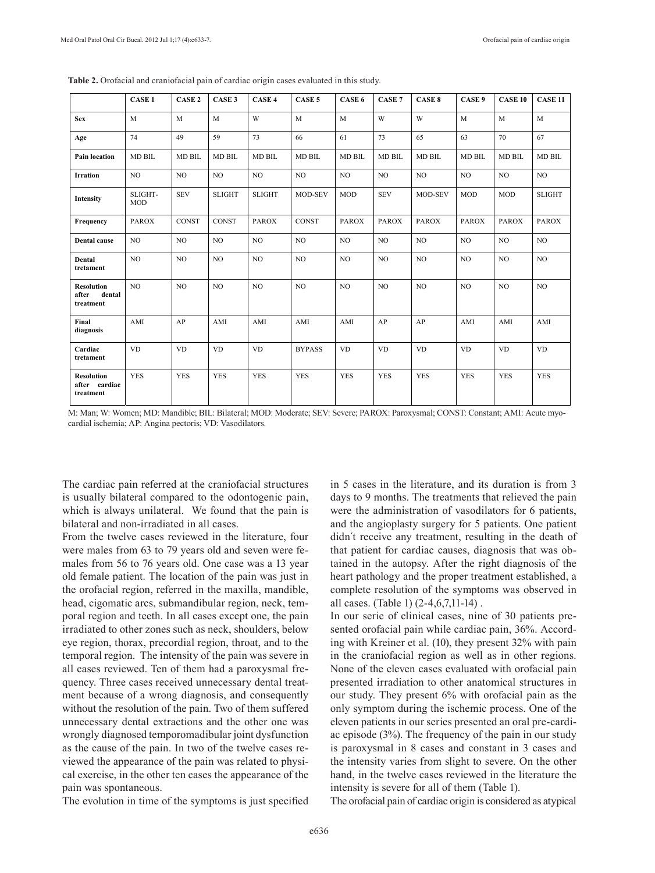|                                                   | <b>CASE 1</b>         | CASE <sub>2</sub> | CASE <sub>3</sub> | CASE <sub>4</sub> | CASE <sub>5</sub> | CASE 6         | CASE <sub>7</sub> | CASE 8         | CASE 9         | <b>CASE 10</b> | <b>CASE 11</b> |
|---------------------------------------------------|-----------------------|-------------------|-------------------|-------------------|-------------------|----------------|-------------------|----------------|----------------|----------------|----------------|
| <b>Sex</b>                                        | $\mathbf{M}$          | $\mathbf{M}$      | M                 | W                 | M                 | M              | W                 | W              | M              | M              | M              |
| Age                                               | 74                    | 49                | 59                | 73                | 66                | 61             | 73                | 65             | 63             | 70             | 67             |
| Pain location                                     | <b>MD BIL</b>         | <b>MD BIL</b>     | <b>MD BIL</b>     | <b>MD BIL</b>     | <b>MD BIL</b>     | <b>MD BIL</b>  | <b>MD BIL</b>     | <b>MD BIL</b>  | <b>MD BIL</b>  | <b>MD BIL</b>  | <b>MD BIL</b>  |
| <b>Irration</b>                                   | NO.                   | N <sub>O</sub>    | N <sub>O</sub>    | N <sub>O</sub>    | N <sub>O</sub>    | NO             | N <sub>O</sub>    | NO             | N <sub>O</sub> | NO             | N <sub>O</sub> |
| <b>Intensity</b>                                  | SLIGHT-<br><b>MOD</b> | <b>SEV</b>        | <b>SLIGHT</b>     | <b>SLIGHT</b>     | <b>MOD-SEV</b>    | <b>MOD</b>     | <b>SEV</b>        | <b>MOD-SEV</b> | <b>MOD</b>     | <b>MOD</b>     | <b>SLIGHT</b>  |
| Frequency                                         | <b>PAROX</b>          | CONST             | <b>CONST</b>      | <b>PAROX</b>      | <b>CONST</b>      | <b>PAROX</b>   | <b>PAROX</b>      | <b>PAROX</b>   | <b>PAROX</b>   | <b>PAROX</b>   | <b>PAROX</b>   |
| <b>Dental</b> cause                               | NO.                   | NO                | NO                | NO.               | NO                | NO             | NO                | NO             | NO.            | NO             | N <sub>O</sub> |
| Dental<br>tretament                               | NO.                   | N <sub>O</sub>    | N <sub>O</sub>    | N <sub>O</sub>    | N <sub>O</sub>    | NO             | N <sub>O</sub>    | N <sub>O</sub> | N <sub>O</sub> | N <sub>O</sub> | N <sub>O</sub> |
| <b>Resolution</b><br>dental<br>after<br>treatment | NO                    | N <sub>O</sub>    | N <sub>O</sub>    | N <sub>O</sub>    | N <sub>O</sub>    | N <sub>O</sub> | N <sub>O</sub>    | N <sub>O</sub> | N <sub>O</sub> | N <sub>O</sub> | N <sub>O</sub> |
| Final<br>diagnosis                                | AMI                   | AP                | AMI               | AMI               | AMI               | AMI            | AP                | AP             | AMI            | AMI            | AMI            |
| Cardiac<br>tretament                              | <b>VD</b>             | <b>VD</b>         | <b>VD</b>         | <b>VD</b>         | <b>BYPASS</b>     | <b>VD</b>      | <b>VD</b>         | <b>VD</b>      | <b>VD</b>      | <b>VD</b>      | <b>VD</b>      |
| <b>Resolution</b><br>after cardiac<br>treatment   | <b>YES</b>            | <b>YES</b>        | <b>YES</b>        | <b>YES</b>        | <b>YES</b>        | <b>YES</b>     | <b>YES</b>        | <b>YES</b>     | <b>YES</b>     | <b>YES</b>     | <b>YES</b>     |

**Table 2.** Orofacial and craniofacial pain of cardiac origin cases evaluated in this study.

M: Man; W: Women; MD: Mandible; BIL: Bilateral; MOD: Moderate; SEV: Severe; PAROX: Paroxysmal; CONST: Constant; AMI: Acute myocardial ischemia; AP: Angina pectoris; VD: Vasodilators.

The cardiac pain referred at the craniofacial structures is usually bilateral compared to the odontogenic pain, which is always unilateral. We found that the pain is bilateral and non-irradiated in all cases.

From the twelve cases reviewed in the literature, four were males from 63 to 79 years old and seven were females from 56 to 76 years old. One case was a 13 year old female patient. The location of the pain was just in the orofacial region, referred in the maxilla, mandible, head, cigomatic arcs, submandibular region, neck, temporal region and teeth. In all cases except one, the pain irradiated to other zones such as neck, shoulders, below eye region, thorax, precordial region, throat, and to the temporal region. The intensity of the pain was severe in all cases reviewed. Ten of them had a paroxysmal frequency. Three cases received unnecessary dental treatment because of a wrong diagnosis, and consequently without the resolution of the pain. Two of them suffered unnecessary dental extractions and the other one was wrongly diagnosed temporomadibular joint dysfunction as the cause of the pain. In two of the twelve cases reviewed the appearance of the pain was related to physical exercise, in the other ten cases the appearance of the pain was spontaneous.

The evolution in time of the symptoms is just specified

in 5 cases in the literature, and its duration is from 3 days to 9 months. The treatments that relieved the pain were the administration of vasodilators for 6 patients, and the angioplasty surgery for 5 patients. One patient didn´t receive any treatment, resulting in the death of that patient for cardiac causes, diagnosis that was obtained in the autopsy. After the right diagnosis of the heart pathology and the proper treatment established, a complete resolution of the symptoms was observed in all cases. (Table 1) (2-4,6,7,11-14) .

In our serie of clinical cases, nine of 30 patients presented orofacial pain while cardiac pain, 36%. According with Kreiner et al. (10), they present 32% with pain in the craniofacial region as well as in other regions. None of the eleven cases evaluated with orofacial pain presented irradiation to other anatomical structures in our study. They present 6% with orofacial pain as the only symptom during the ischemic process. One of the eleven patients in our series presented an oral pre-cardiac episode (3%). The frequency of the pain in our study is paroxysmal in 8 cases and constant in 3 cases and the intensity varies from slight to severe. On the other hand, in the twelve cases reviewed in the literature the intensity is severe for all of them (Table 1).

The orofacial pain of cardiac origin is considered as atypical